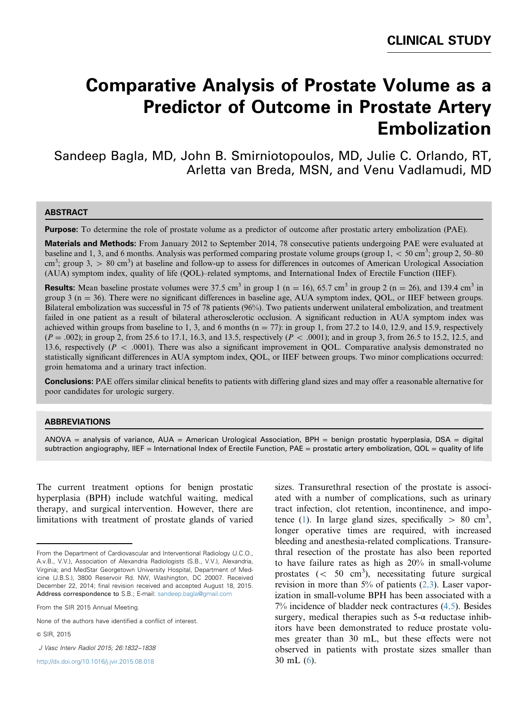# **Comparative Analysis of Prostate Volume as a Predictor of Outcome in Prostate Artery Embolization**

Sandeep Bagla, MD, John B. Smirniotopoulos, MD, Julie C. Orlando, RT, Arletta van Breda, MSN, and Venu Vadlamudi, MD

#### ABSTRACT

Purpose: To determine the role of prostate volume as a predictor of outcome after prostatic artery embolization (PAE).

Materials and Methods: From January 2012 to September 2014, 78 consecutive patients undergoing PAE were evaluated at baseline and 1, 3, and 6 months. Analysis was performed comparing prostate volume groups (group  $1,$  < 50 cm<sup>3</sup>; group 2, 50–80  $cm<sup>3</sup>$ ; group 3,  $> 80$  cm<sup>3</sup>) at baseline and follow-up to assess for differences in outcomes of American Urological Association (AUA) symptom index, quality of life (QOL)–related symptoms, and International Index of Erectile Function (IIEF).

**Results:** Mean baseline prostate volumes were 37.5 cm<sup>3</sup> in group 1 (n = 16), 65.7 cm<sup>3</sup> in group 2 (n = 26), and 139.4 cm<sup>3</sup> in group 3 ( $n = 36$ ). There were no significant differences in baseline age, AUA symptom index, QOL, or IIEF between groups. Bilateral embolization was successful in 75 of 78 patients (96%). Two patients underwent unilateral embolization, and treatment failed in one patient as a result of bilateral atherosclerotic occlusion. A significant reduction in AUA symptom index was achieved within groups from baseline to 1, 3, and 6 months ( $n = 77$ ): in group 1, from 27.2 to 14.0, 12.9, and 15.9, respectively  $(P = .002)$ ; in group 2, from 25.6 to 17.1, 16.3, and 13.5, respectively  $(P < .0001)$ ; and in group 3, from 26.5 to 15.2, 12.5, and 13.6, respectively ( $P < .0001$ ). There was also a significant improvement in QOL. Comparative analysis demonstrated no statistically significant differences in AUA symptom index, QOL, or IIEF between groups. Two minor complications occurred: groin hematoma and a urinary tract infection.

**Conclusions:** PAE offers similar clinical benefits to patients with differing gland sizes and may offer a reasonable alternative for poor candidates for urologic surgery.

### ABBREVIATIONS

ANOVA = analysis of variance,  $AUA =$  American Urological Association, BPH = benign prostatic hyperplasia, DSA = digital subtraction angiography, IIEF = International Index of Erectile Function, PAE = prostatic artery embolization, QOL = quality of life

The current treatment options for benign prostatic hyperplasia (BPH) include watchful waiting, medical therapy, and surgical intervention. However, there are limitations with treatment of prostate glands of varied

& SIR, 2015

J Vasc Interv Radiol 2015; 26:1832–1838

[http://dx.doi.org/10.1016/j.jvir.2015.08.018](dx.doi.org/10.1016/j.jvir.2015.08.018)

sizes. Transurethral resection of the prostate is associated with a number of complications, such as urinary tract infection, clot retention, incontinence, and impo-tence [\(1](#page-6-0)). In large gland sizes, specifically  $> 80$  cm<sup>3</sup>, longer operative times are required, with increased bleeding and anesthesia-related complications. Transurethral resection of the prostate has also been reported to have failure rates as high as 20% in small-volume prostates  $( $50 \text{ cm}^3$ ), necessarily future surgical$ revision in more than 5% of patients ([2,3\)](#page-6-0). Laser vaporization in small-volume BPH has been associated with a 7% incidence of bladder neck contractures ([4,5](#page-6-0)). Besides surgery, medical therapies such as  $5-\alpha$  reductase inhibitors have been demonstrated to reduce prostate volumes greater than 30 mL, but these effects were not observed in patients with prostate sizes smaller than 30 mL ([6\)](#page-6-0).

From the Department of Cardiovascular and Interventional Radiology (J.C.O., A.v.B., V.V.), Association of Alexandria Radiologists (S.B., V.V.), Alexandria, Virginia; and MedStar Georgetown University Hospital, Department of Medicine (J.B.S.), 3800 Reservoir Rd. NW, Washington, DC 20007. Received December 22, 2014; final revision received and accepted August 18, 2015. Address correspondence to S.B.; E-mail: [sandeep.bagla@gmail.com](mailto:sandeep.bagla@gmail.com)

From the SIR 2015 Annual Meeting.

None of the authors have identified a conflict of interest.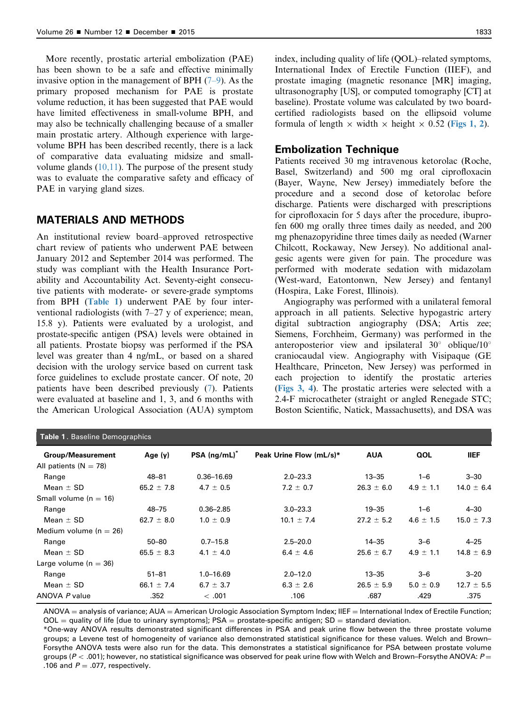More recently, prostatic arterial embolization (PAE) has been shown to be a safe and effective minimally invasive option in the management of BPH  $(7-9)$  $(7-9)$ . As the primary proposed mechanism for PAE is prostate volume reduction, it has been suggested that PAE would have limited effectiveness in small-volume BPH, and may also be technically challenging because of a smaller main prostatic artery. Although experience with largevolume BPH has been described recently, there is a lack of comparative data evaluating midsize and smallvolume glands  $(10,11)$  $(10,11)$  $(10,11)$ . The purpose of the present study was to evaluate the comparative safety and efficacy of PAE in varying gland sizes.

## MATERIALS AND METHODS

An institutional review board–approved retrospective chart review of patients who underwent PAE between January 2012 and September 2014 was performed. The study was compliant with the Health Insurance Portability and Accountability Act. Seventy-eight consecutive patients with moderate- or severe-grade symptoms from BPH (Table 1) underwent PAE by four interventional radiologists (with 7–27 y of experience; mean, 15.8 y). Patients were evaluated by a urologist, and prostate-specific antigen (PSA) levels were obtained in all patients. Prostate biopsy was performed if the PSA level was greater than 4 ng/mL, or based on a shared decision with the urology service based on current task force guidelines to exclude prostate cancer. Of note, 20 patients have been described previously ([7\)](#page-6-0). Patients were evaluated at baseline and 1, 3, and 6 months with the American Urological Association (AUA) symptom

index, including quality of life (QOL)–related symptoms, International Index of Erectile Function (IIEF), and prostate imaging (magnetic resonance [MR] imaging, ultrasonography [US], or computed tomography [CT] at baseline). Prostate volume was calculated by two boardcertified radiologists based on the ellipsoid volume formula of length  $\times$  width  $\times$  height  $\times$  0.52 ([Figs 1, 2](#page-2-0)).

### Embolization Technique

Patients received 30 mg intravenous ketorolac (Roche, Basel, Switzerland) and 500 mg oral ciprofloxacin (Bayer, Wayne, New Jersey) immediately before the procedure and a second dose of ketorolac before discharge. Patients were discharged with prescriptions for ciprofloxacin for 5 days after the procedure, ibuprofen 600 mg orally three times daily as needed, and 200 mg phenazopyridine three times daily as needed (Warner Chilcott, Rockaway, New Jersey). No additional analgesic agents were given for pain. The procedure was performed with moderate sedation with midazolam (West-ward, Eatontonwn, New Jersey) and fentanyl (Hospira, Lake Forest, Illinois).

Angiography was performed with a unilateral femoral approach in all patients. Selective hypogastric artery digital subtraction angiography (DSA; Artis zee; Siemens, Forchheim, Germany) was performed in the anteroposterior view and ipsilateral  $30^{\circ}$  oblique/10° craniocaudal view. Angiography with Visipaque (GE Healthcare, Princeton, New Jersey) was performed in each projection to identify the prostatic arteries ([Figs 3, 4](#page-2-0)). The prostatic arteries were selected with a 2.4-F microcatheter (straight or angled Renegade STC; Boston Scientific, Natick, Massachusetts), and DSA was

| <b>Table 1. Baseline Demographics</b> |                            |                         |                |               |                |
|---------------------------------------|----------------------------|-------------------------|----------------|---------------|----------------|
| Age $(y)$                             | $PSA$ (ng/mL) <sup>*</sup> | Peak Urine Flow (mL/s)* | <b>AUA</b>     | QOL           | <b>IIEF</b>    |
|                                       |                            |                         |                |               |                |
| 48-81                                 | $0.36 - 16.69$             | $2.0 - 23.3$            | $13 - 35$      | $1 - 6$       | $3 - 30$       |
| 65.2 $\pm$ 7.8                        | $4.7 \pm 0.5$              | $7.2 \pm 0.7$           | $26.3 \pm 6.0$ | $4.9 \pm 1.1$ | $14.0 \pm 6.4$ |
|                                       |                            |                         |                |               |                |
| 48-75                                 | $0.36 - 2.85$              | $3.0 - 23.3$            | $19 - 35$      | $1 - 6$       | $4 - 30$       |
| 62.7 $\pm$ 8.0                        | $1.0 \pm 0.9$              | $10.1 \pm 7.4$          | $27.2 \pm 5.2$ | $4.6 \pm 1.5$ | $15.0 \pm 7.3$ |
|                                       |                            |                         |                |               |                |
| $50 - 80$                             | $0.7 - 15.8$               | $2.5 - 20.0$            | $14 - 35$      | $3 - 6$       | $4 - 25$       |
| $65.5 \pm 8.3$                        | $4.1 \pm 4.0$              | $6.4 \pm 4.6$           | $25.6 \pm 6.7$ | $4.9 \pm 1.1$ | $14.8 \pm 6.9$ |
|                                       |                            |                         |                |               |                |
| $51 - 81$                             | $1.0 - 16.69$              | $2.0 - 12.0$            | $13 - 35$      | $3 - 6$       | $3 - 20$       |
| 66.1 $\pm$ 7.4                        | 6.7 $\pm$ 3.7              | $6.3 \pm 2.6$           | $26.5 \pm 5.9$ | $5.0 \pm 0.9$ | $12.7 \pm 5.5$ |
| .352                                  | <.001                      | .106                    | .687           | .429          | .375           |
|                                       |                            |                         |                |               |                |

 $ANOVA =$  analysis of variance;  $AUA =$  American Urologic Association Symptom Index; IIEF = International Index of Erectile Function;  $QOL =$  quality of life [due to urinary symptoms]; PSA = prostate-specific antigen; SD = standard deviation.

\*One-way ANOVA results demonstrated significant differences in PSA and peak urine flow between the three prostate volume groups; a Levene test of homogeneity of variance also demonstrated statistical significance for these values. Welch and Brown– Forsythe ANOVA tests were also run for the data. This demonstrates a statistical significance for PSA between prostate volume groups ( $P <$  .001); however, no statistical significance was observed for peak urine flow with Welch and Brown–Forsythe ANOVA:  $P =$ .106 and  $P = .077$ , respectively.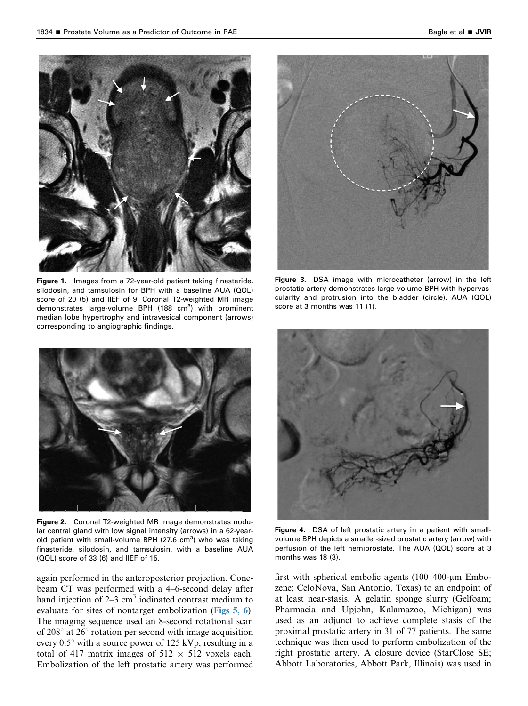<span id="page-2-0"></span>

Figure 1. Images from a 72-year-old patient taking finasteride, silodosin, and tamsulosin for BPH with a baseline AUA (QOL) score of 20 (5) and IIEF of 9. Coronal T2-weighted MR image demonstrates large-volume BPH (188 cm<sup>3</sup>) with prominent median lobe hypertrophy and intravesical component (arrows) corresponding to angiographic findings.



Figure 2. Coronal T2-weighted MR image demonstrates nodular central gland with low signal intensity (arrows) in a 62-yearold patient with small-volume BPH (27.6 cm<sup>3</sup>) who was taking finasteride, silodosin, and tamsulosin, with a baseline AUA (QOL) score of 33 (6) and IIEF of 15.

again performed in the anteroposterior projection. Conebeam CT was performed with a 4–6-second delay after hand injection of  $2-3$  cm<sup>3</sup> iodinated contrast medium to evaluate for sites of nontarget embolization ([Figs 5, 6](#page-3-0)). The imaging sequence used an 8-second rotational scan of  $208^\circ$  at  $26^\circ$  rotation per second with image acquisition every  $0.5^{\circ}$  with a source power of 125 kVp, resulting in a total of 417 matrix images of  $512 \times 512$  voxels each. Embolization of the left prostatic artery was performed



Figure 3. DSA image with microcatheter (arrow) in the left prostatic artery demonstrates large-volume BPH with hypervascularity and protrusion into the bladder (circle). AUA (QOL) score at 3 months was 11 (1).



Figure 4. DSA of left prostatic artery in a patient with smallvolume BPH depicts a smaller-sized prostatic artery (arrow) with perfusion of the left hemiprostate. The AUA (QOL) score at 3 months was 18 (3).

first with spherical embolic agents  $(100-400-\mu m)$  Embozene; CeloNova, San Antonio, Texas) to an endpoint of at least near-stasis. A gelatin sponge slurry (Gelfoam; Pharmacia and Upjohn, Kalamazoo, Michigan) was used as an adjunct to achieve complete stasis of the proximal prostatic artery in 31 of 77 patients. The same technique was then used to perform embolization of the right prostatic artery. A closure device (StarClose SE; Abbott Laboratories, Abbott Park, Illinois) was used in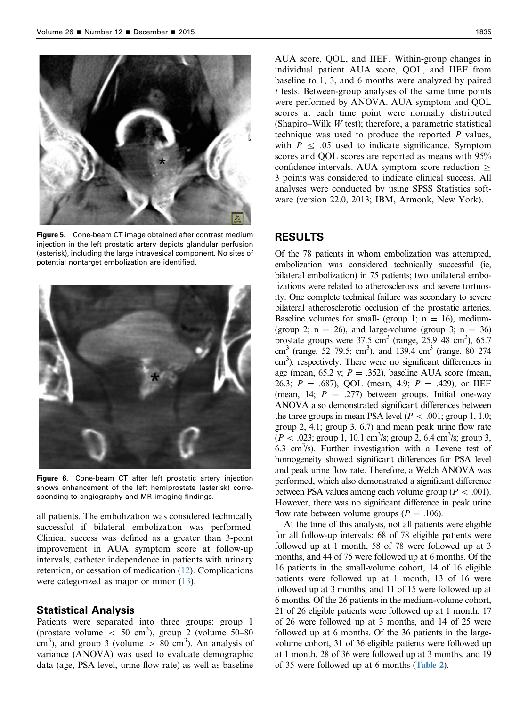<span id="page-3-0"></span>

Figure 5. Cone-beam CT image obtained after contrast medium injection in the left prostatic artery depicts glandular perfusion (asterisk), including the large intravesical component. No sites of potential nontarget embolization are identified.



Figure 6. Cone-beam CT after left prostatic artery injection shows enhancement of the left hemiprostate (asterisk) corresponding to angiography and MR imaging findings.

all patients. The embolization was considered technically successful if bilateral embolization was performed. Clinical success was defined as a greater than 3-point improvement in AUA symptom score at follow-up intervals, catheter independence in patients with urinary retention, or cessation of medication [\(12](#page-6-0)). Complications were categorized as major or minor [\(13](#page-6-0)).

#### Statistical Analysis

Patients were separated into three groups: group 1 (prostate volume  $< 50$  cm<sup>3</sup>), group 2 (volume  $50-80$ cm<sup>3</sup>), and group 3 (volume  $> 80$  cm<sup>3</sup>). An analysis of variance (ANOVA) was used to evaluate demographic data (age, PSA level, urine flow rate) as well as baseline AUA score, QOL, and IIEF. Within-group changes in individual patient AUA score, QOL, and IIEF from baseline to 1, 3, and 6 months were analyzed by paired  $t$  tests. Between-group analyses of the same time points were performed by ANOVA. AUA symptom and QOL scores at each time point were normally distributed (Shapiro–Wilk  $W$  test); therefore, a parametric statistical technique was used to produce the reported  *values,* with  $P \leq 0.05$  used to indicate significance. Symptom scores and QOL scores are reported as means with 95% confidence intervals. AUA symptom score reduction  $\geq$ 3 points was considered to indicate clinical success. All analyses were conducted by using SPSS Statistics software (version 22.0, 2013; IBM, Armonk, New York).

## RESULTS

Of the 78 patients in whom embolization was attempted, embolization was considered technically successful (ie, bilateral embolization) in 75 patients; two unilateral embolizations were related to atherosclerosis and severe tortuosity. One complete technical failure was secondary to severe bilateral atherosclerotic occlusion of the prostatic arteries. Baseline volumes for small- (group 1;  $n = 16$ ), medium-(group 2;  $n = 26$ ), and large-volume (group 3;  $n = 36$ ) prostate groups were  $37.5 \text{ cm}^3$  (range,  $25.9-48 \text{ cm}^3$ ),  $65.7$ cm<sup>3</sup> (range, 52–79.5; cm<sup>3</sup>), and 139.4 cm<sup>3</sup> (range, 80–274) cm<sup>3</sup>), respectively. There were no significant differences in age (mean, 65.2 y;  $P = .352$ ), baseline AUA score (mean, 26.3;  $P = .687$ ), QOL (mean, 4.9;  $P = .429$ ), or IIEF (mean, 14;  $P = .277$ ) between groups. Initial one-way ANOVA also demonstrated significant differences between the three groups in mean PSA level ( $P < .001$ ; group 1, 1.0; group 2, 4.1; group 3, 6.7) and mean peak urine flow rate  $(P < .023;$  group 1, 10.1 cm<sup>3</sup>/s; group 2, 6.4 cm<sup>3</sup>/s; group 3, 6.3 cm3 /s). Further investigation with a Levene test of homogeneity showed significant differences for PSA level and peak urine flow rate. Therefore, a Welch ANOVA was performed, which also demonstrated a significant difference between PSA values among each volume group ( $P < .001$ ). However, there was no significant difference in peak urine flow rate between volume groups ( $P = .106$ ).

At the time of this analysis, not all patients were eligible for all follow-up intervals: 68 of 78 eligible patients were followed up at 1 month, 58 of 78 were followed up at 3 months, and 44 of 75 were followed up at 6 months. Of the 16 patients in the small-volume cohort, 14 of 16 eligible patients were followed up at 1 month, 13 of 16 were followed up at 3 months, and 11 of 15 were followed up at 6 months. Of the 26 patients in the medium-volume cohort, 21 of 26 eligible patients were followed up at 1 month, 17 of 26 were followed up at 3 months, and 14 of 25 were followed up at 6 months. Of the 36 patients in the largevolume cohort, 31 of 36 eligible patients were followed up at 1 month, 28 of 36 were followed up at 3 months, and 19 of 35 were followed up at 6 months ([Table 2](#page-4-0)).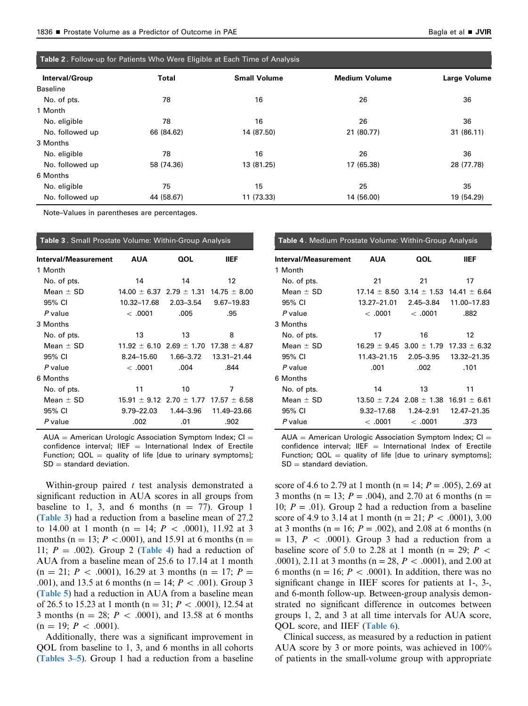<span id="page-4-0"></span>

| Table 2. Follow-up for Patients Who Were Eligible at Each Time of Analysis |            |                     |                      |                     |
|----------------------------------------------------------------------------|------------|---------------------|----------------------|---------------------|
| Interval/Group                                                             | Total      | <b>Small Volume</b> | <b>Medium Volume</b> | <b>Large Volume</b> |
| <b>Baseline</b>                                                            |            |                     |                      |                     |
| No. of pts.                                                                | 78         | 16                  | 26                   | 36                  |
| 1 Month                                                                    |            |                     |                      |                     |
| No. eligible                                                               | 78         | 16                  | 26                   | 36                  |
| No. followed up                                                            | 66 (84.62) | 14 (87.50)          | 21 (80.77)           | 31 (86.11)          |
| 3 Months                                                                   |            |                     |                      |                     |
| No. eligible                                                               | 78         | 16                  | 26                   | 36                  |
| No. followed up                                                            | 58 (74.36) | 13 (81.25)          | 17 (65.38)           | 28 (77.78)          |
| 6 Months                                                                   |            |                     |                      |                     |
| No. eligible                                                               | 75         | 15                  | 25                   | 35                  |
| No. followed up                                                            | 44 (58.67) | 11 (73.33)          | 14 (56.00)           | 19 (54.29)          |

Note–Values in parentheses are percentages.

| Table 3. Small Prostate Volume: Within-Group Analysis |           |                                                                                                                                                             |  |  |
|-------------------------------------------------------|-----------|-------------------------------------------------------------------------------------------------------------------------------------------------------------|--|--|
| <b>AUA</b>                                            | QOL       | <b>IIEF</b>                                                                                                                                                 |  |  |
|                                                       |           |                                                                                                                                                             |  |  |
| 14                                                    | 14        | 12                                                                                                                                                          |  |  |
|                                                       |           |                                                                                                                                                             |  |  |
| 10.32-17.68                                           | 2.03–3.54 | 9.67-19.83                                                                                                                                                  |  |  |
| <.0001                                                | .005      | .95                                                                                                                                                         |  |  |
|                                                       |           |                                                                                                                                                             |  |  |
| 13                                                    | 13        | 8                                                                                                                                                           |  |  |
|                                                       |           |                                                                                                                                                             |  |  |
| 8.24–15.60                                            | 1.66–3.72 | 13.31-21.44                                                                                                                                                 |  |  |
| <.0001                                                | .004      | .844                                                                                                                                                        |  |  |
|                                                       |           |                                                                                                                                                             |  |  |
| 11                                                    | 10        | 7                                                                                                                                                           |  |  |
|                                                       |           |                                                                                                                                                             |  |  |
| 9.79-22.03                                            | 1.44–3.96 | 11.49-23.66                                                                                                                                                 |  |  |
| .002                                                  | .01       | .902                                                                                                                                                        |  |  |
|                                                       |           | $14.00 \pm 6.37$ 2.79 $\pm$ 1.31 14.75 $\pm$ 8.00<br>$11.92 \pm 6.10$ 2.69 $\pm$ 1.70 17.38 $\pm$ 4.87<br>$15.91 \pm 9.12$ 2.70 $\pm$ 1.77 17.57 $\pm$ 6.58 |  |  |

 $AUA =$  American Urologic Association Symptom Index; CI = confidence interval; IIEF  $=$  International Index of Erectile Function;  $QOL =$  quality of life [due to urinary symptoms];  $SD =$  standard deviation.

Within-group paired  $t$  test analysis demonstrated a significant reduction in AUA scores in all groups from baseline to 1, 3, and 6 months  $(n = 77)$ . Group 1 (Table 3) had a reduction from a baseline mean of 27.2 to 14.00 at 1 month (n = 14;  $P < .0001$ ), 11.92 at 3 months (n = 13; P < 0.001), and 15.91 at 6 months (n = 11;  $P = .002$ ). Group 2 (Table 4) had a reduction of AUA from a baseline mean of 25.6 to 17.14 at 1 month  $(n = 21; P < .0001)$ , 16.29 at 3 months  $(n = 17; P = )$ .001), and 13.5 at 6 months (n = 14;  $P < .001$ ). Group 3 ([Table 5](#page-5-0)) had a reduction in AUA from a baseline mean of 26.5 to 15.23 at 1 month (n = 31;  $P < .0001$ ), 12.54 at 3 months ( $n = 28$ ;  $P < .0001$ ), and 13.58 at 6 months  $(n = 19; P < .0001).$ 

Additionally, there was a significant improvement in QOL from baseline to 1, 3, and 6 months in all cohorts (Tables 3–5). Group 1 had a reduction from a baseline

| Table 4. Medium Prostate Volume: Within-Group Analysis |                                  |           |                                                   |  |
|--------------------------------------------------------|----------------------------------|-----------|---------------------------------------------------|--|
| Interval/Measurement                                   | <b>AUA</b>                       | QOL       | <b>IIEF</b>                                       |  |
| 1 Month                                                |                                  |           |                                                   |  |
| No. of pts.                                            | 21                               | 21        | 17                                                |  |
| Mean $\pm$ SD                                          |                                  |           | $17.14 \pm 8.50$ 3.14 $\pm$ 1.53 14.41 $\pm$ 6.64 |  |
| 95% CI                                                 | 13.27-21.01                      | 2.45–3.84 | 11.00-17.83                                       |  |
| P value                                                | <.0001                           | <.0001    | .882                                              |  |
| 3 Months                                               |                                  |           |                                                   |  |
| No. of pts.                                            | 17                               | 16        | 12                                                |  |
| Mean $\pm$ SD                                          |                                  |           | $16.29 \pm 9.45$ 3.00 $\pm$ 1.79 17.33 $\pm$ 6.32 |  |
| 95% CI                                                 | 11.43-21.15                      | 2.05–3.95 | 13.32-21.35                                       |  |
| P value                                                | .001                             | .002      | .101                                              |  |
| 6 Months                                               |                                  |           |                                                   |  |
| No. of pts.                                            | 14                               | 13        | 11                                                |  |
| Mean $\pm$ SD                                          | $13.50 \pm 7.24$ 2.08 $\pm$ 1.38 |           | $16.91 \pm 6.61$                                  |  |
| 95% CI                                                 | 9.32–17.68                       | 1.24–2.91 | 12.47-21.35                                       |  |
| P value                                                | <.0001                           | <.0001    | .373                                              |  |

 $AUA =$  American Urologic Association Symptom Index; CI = confidence interval; IIEF  $=$  International Index of Erectile Function;  $QOL =$  quality of life [due to urinary symptoms];  $SD =$  standard deviation.

score of 4.6 to 2.79 at 1 month (n = 14;  $P = .005$ ), 2.69 at 3 months (n = 13;  $P = .004$ ), and 2.70 at 6 months (n = 10;  $P = .01$ ). Group 2 had a reduction from a baseline score of 4.9 to 3.14 at 1 month (n = 21;  $P < .0001$ ), 3.00 at 3 months ( $n = 16$ ;  $P = .002$ ), and 2.08 at 6 months (n  $= 13$ ,  $P < .0001$ ). Group 3 had a reduction from a baseline score of 5.0 to 2.28 at 1 month (n = 29;  $P \leq$ .0001), 2.11 at 3 months (n = 28,  $P < .0001$ ), and 2.00 at 6 months (n = 16;  $P < .0001$ ). In addition, there was no significant change in IIEF scores for patients at 1-, 3-, and 6-month follow-up. Between-group analysis demonstrated no significant difference in outcomes between groups 1, 2, and 3 at all time intervals for AUA score, QOL score, and IIEF ([Table 6](#page-5-0)).

Clinical success, as measured by a reduction in patient AUA score by 3 or more points, was achieved in 100% of patients in the small-volume group with appropriate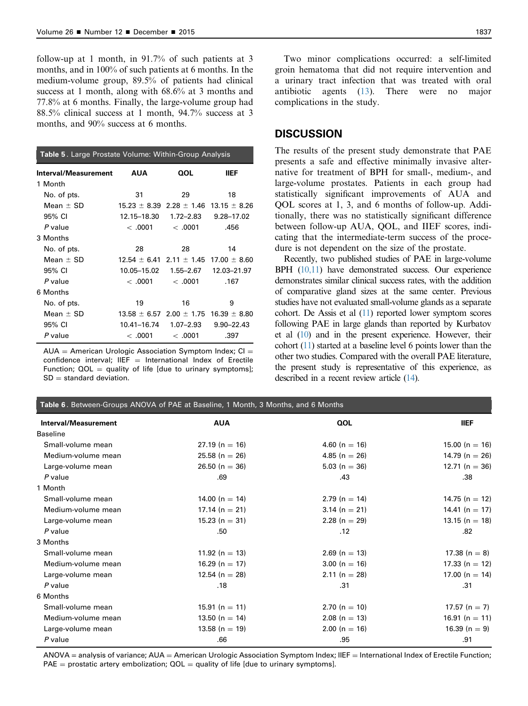<span id="page-5-0"></span>follow-up at 1 month, in 91.7% of such patients at 3 months, and in 100% of such patients at 6 months. In the medium-volume group, 89.5% of patients had clinical success at 1 month, along with 68.6% at 3 months and 77.8% at 6 months. Finally, the large-volume group had 88.5% clinical success at 1 month, 94.7% success at 3 months, and 90% success at 6 months.

| <b>Table 5.</b> Large Prostate Volume: Within-Group Analysis |                                                   |           |                                                   |
|--------------------------------------------------------------|---------------------------------------------------|-----------|---------------------------------------------------|
| Interval/Measurement                                         | <b>AUA</b>                                        | QOL       | <b>IIEF</b>                                       |
| 1 Month                                                      |                                                   |           |                                                   |
| No. of pts.                                                  | 31                                                | 29        | 18                                                |
| Mean $\pm$ SD                                                | $15.23 \pm 8.39$ 2.28 $\pm$ 1.46 13.15 $\pm$ 8.26 |           |                                                   |
| 95% CI                                                       | 12.15-18.30                                       | 1.72–2.83 | 9.28-17.02                                        |
| P value                                                      | <.0001                                            | <.0001    | .456                                              |
| 3 Months                                                     |                                                   |           |                                                   |
| No. of pts.                                                  | 28                                                | 28        | 14                                                |
| Mean $\pm$ SD                                                |                                                   |           | $12.54 \pm 6.41$ 2.11 $\pm$ 1.45 17.00 $\pm$ 8.60 |
| 95% CI                                                       |                                                   |           |                                                   |
| P value                                                      | < .0001                                           | <.0001    | .167                                              |
| 6 Months                                                     |                                                   |           |                                                   |
| No. of pts.                                                  | 19                                                | 16        | 9                                                 |
| Mean $\pm$ SD                                                |                                                   |           | $13.58 \pm 6.57$ 2.00 $\pm$ 1.75 16.39 $\pm$ 8.80 |
| 95% CI                                                       |                                                   |           | $9.90 - 22.43$                                    |
| P value                                                      | <.0001                                            | <.0001    | .397                                              |

 $AUA =$  American Urologic Association Symptom Index; CI = confidence interval; IIEF  $=$  International Index of Erectile Function;  $QOL =$  quality of life [due to urinary symptoms];  $SD =$  standard deviation.

Two minor complications occurred: a self-limited groin hematoma that did not require intervention and a urinary tract infection that was treated with oral antibiotic agents [\(13](#page-6-0)). There were no major complications in the study.

## **DISCUSSION**

The results of the present study demonstrate that PAE presents a safe and effective minimally invasive alternative for treatment of BPH for small-, medium-, and large-volume prostates. Patients in each group had statistically significant improvements of AUA and QOL scores at 1, 3, and 6 months of follow-up. Additionally, there was no statistically significant difference between follow-up AUA, QOL, and IIEF scores, indicating that the intermediate-term success of the procedure is not dependent on the size of the prostate.

Recently, two published studies of PAE in large-volume BPH [\(10,11](#page-6-0)) have demonstrated success. Our experience demonstrates similar clinical success rates, with the addition of comparative gland sizes at the same center. Previous studies have not evaluated small-volume glands as a separate cohort. De Assis et al [\(11](#page-6-0)) reported lower symptom scores following PAE in large glands than reported by Kurbatov et al [\(10\)](#page-6-0) and in the present experience. However, their cohort [\(11](#page-6-0)) started at a baseline level 6 points lower than the other two studies. Compared with the overall PAE literature, the present study is representative of this experience, as described in a recent review article [\(14](#page-6-0)).

| Table 6. Between-Groups ANOVA of PAE at Baseline, 1 Month, 3 Months, and 6 Months |                    |                   |                    |  |
|-----------------------------------------------------------------------------------|--------------------|-------------------|--------------------|--|
| Interval/Measurement                                                              | <b>AUA</b>         | QOL               | <b>IIEF</b>        |  |
| <b>Baseline</b>                                                                   |                    |                   |                    |  |
| Small-volume mean                                                                 | $27.19(n = 16)$    | 4.60 (n = 16)     | 15.00 (n = 16)     |  |
| Medium-volume mean                                                                | $25.58(n = 26)$    | 4.85 ( $n = 26$ ) | 14.79 ( $n = 26$ ) |  |
| Large-volume mean                                                                 | $26.50(n = 36)$    | $5.03(n = 36)$    | 12.71 ( $n = 36$ ) |  |
| P value                                                                           | .69                | .43               | .38                |  |
| 1 Month                                                                           |                    |                   |                    |  |
| Small-volume mean                                                                 | 14.00 ( $n = 14$ ) | $2.79(n = 14)$    | 14.75 (n = 12)     |  |
| Medium-volume mean                                                                | 17.14 (n = 21)     | $3.14 (n = 21)$   | 14.41 (n = 17)     |  |
| Large-volume mean                                                                 | $15.23(n = 31)$    | 2.28 ( $n = 29$ ) | $13.15(n = 18)$    |  |
| $P$ value                                                                         | .50                | .12               | .82                |  |
| 3 Months                                                                          |                    |                   |                    |  |
| Small-volume mean                                                                 | 11.92 (n = 13)     | $2.69$ (n = 13)   | 17.38 (n = 8)      |  |
| Medium-volume mean                                                                | 16.29 (n = 17)     | $3.00(n = 16)$    | 17.33 (n = 12)     |  |
| Large-volume mean                                                                 | 12.54 ( $n = 28$ ) | $2.11(n = 28)$    | 17.00 (n = 14)     |  |
| P value                                                                           | .18                | .31               | .31                |  |
| 6 Months                                                                          |                    |                   |                    |  |
| Small-volume mean                                                                 | 15.91 (n = 11)     | $2.70(n = 10)$    | 17.57 (n = 7)      |  |
| Medium-volume mean                                                                | 13.50 (n = 14)     | $2.08(n = 13)$    | 16.91 (n = 11)     |  |
| Large-volume mean                                                                 | 13.58 (n = 19)     | $2.00(n = 16)$    | 16.39 (n = 9)      |  |
| $P$ value                                                                         | .66                | .95               | .91                |  |

 $ANOVA =$  analysis of variance;  $AUA =$  American Urologic Association Symptom Index; IIEF  $=$  International Index of Erectile Function; PAE = prostatic artery embolization;  $QOL =$  quality of life [due to urinary symptoms].